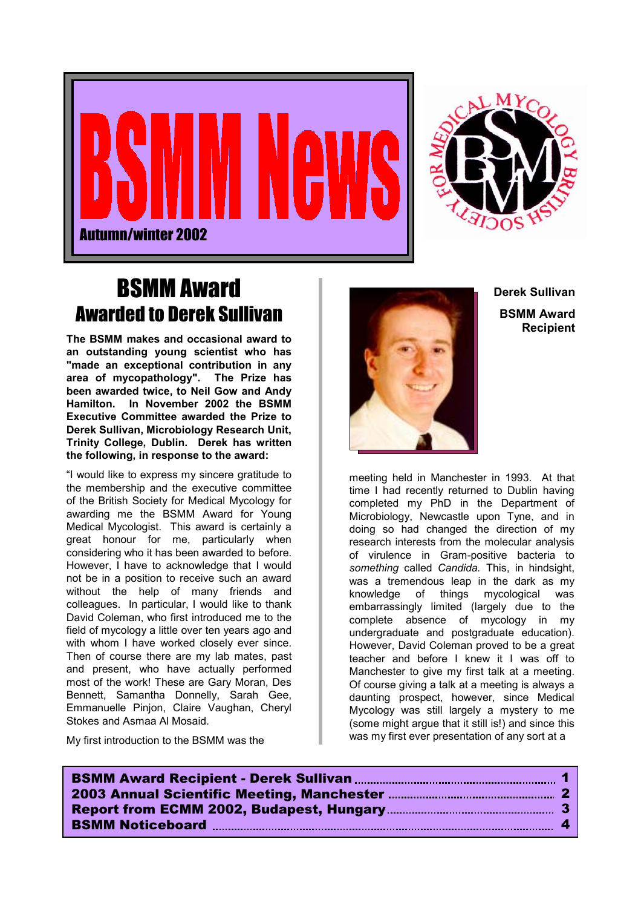



## BSMM Award Awarded to Derek Sullivan

**The BSMM makes and occasional award to an outstanding young scientist who has "made an exceptional contribution in any area of mycopathology". The Prize has been awarded twice, to Neil Gow and Andy Hamilton. In November 2002 the BSMM Executive Committee awarded the Prize to Derek Sullivan, Microbiology Research Unit, Trinity College, Dublin. Derek has written the following, in response to the award:**

"I would like to express my sincere gratitude to the membership and the executive committee of the British Society for Medical Mycology for awarding me the BSMM Award for Young Medical Mycologist. This award is certainly a great honour for me, particularly when considering who it has been awarded to before. However, I have to acknowledge that I would not be in a position to receive such an award without the help of many friends and colleagues. In particular, I would like to thank David Coleman, who first introduced me to the field of mycology a little over ten years ago and with whom I have worked closely ever since. Then of course there are my lab mates, past and present, who have actually performed most of the work! These are Gary Moran, Des Bennett, Samantha Donnelly, Sarah Gee, Emmanuelle Pinjon, Claire Vaughan, Cheryl Stokes and Asmaa Al Mosaid.

My first introduction to the BSMM was the



**Derek Sullivan BSMM Award Recipient**

meeting held in Manchester in 1993. At that time I had recently returned to Dublin having completed my PhD in the Department of Microbiology, Newcastle upon Tyne, and in doing so had changed the direction of my research interests from the molecular analysis of virulence in Gram-positive bacteria to *something* called *Candida.* This, in hindsight, was a tremendous leap in the dark as my knowledge of things mycological was embarrassingly limited (largely due to the complete absence of mycology in my undergraduate and postgraduate education). However, David Coleman proved to be a great teacher and before I knew it I was off to Manchester to give my first talk at a meeting. Of course giving a talk at a meeting is always a daunting prospect, however, since Medical Mycology was still largely a mystery to me (some might argue that it still is!) and since this was my first ever presentation of any sort at a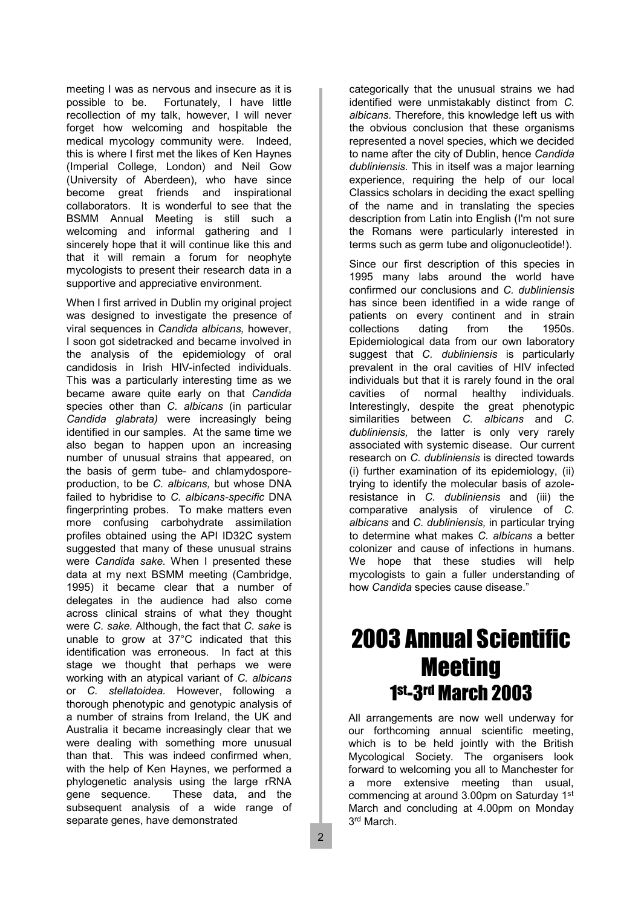meeting I was as nervous and insecure as it is possible to be. Fortunately, I have little recollection of my talk, however, I will never forget how welcoming and hospitable the medical mycology community were. Indeed, this is where I first met the likes of Ken Haynes (Imperial College, London) and Neil Gow (University of Aberdeen), who have since become great friends and inspirational collaborators. It is wonderful to see that the BSMM Annual Meeting is still such a welcoming and informal gathering and I sincerely hope that it will continue like this and that it will remain a forum for neophyte mycologists to present their research data in a supportive and appreciative environment.

When I first arrived in Dublin my original project was designed to investigate the presence of viral sequences in *Candida albicans,* however, I soon got sidetracked and became involved in the analysis of the epidemiology of oral candidosis in Irish HIV-infected individuals. This was a particularly interesting time as we became aware quite early on that *Candida* species other than *C. albicans* (in particular *Candida glabrata)* were increasingly being identified in our samples. At the same time we also began to happen upon an increasing number of unusual strains that appeared, on the basis of germ tube- and chlamydosporeproduction, to be *C. albicans,* but whose DNA failed to hybridise to *C. albicans-specific* DNA fingerprinting probes. To make matters even more confusing carbohydrate assimilation profiles obtained using the API ID32C system suggested that many of these unusual strains were *Candida sake.* When I presented these data at my next BSMM meeting (Cambridge, 1995) it became clear that a number of delegates in the audience had also come across clinical strains of what they thought were *C. sake.* Although, the fact that *C. sake* is unable to grow at 37°C indicated that this identification was erroneous. In fact at this stage we thought that perhaps we were working with an atypical variant of *C. albicans* or *C. stellatoidea.* However, following a thorough phenotypic and genotypic analysis of a number of strains from Ireland, the UK and Australia it became increasingly clear that we were dealing with something more unusual than that. This was indeed confirmed when, with the help of Ken Haynes, we performed a phylogenetic analysis using the large rRNA gene sequence. These data, and the subsequent analysis of a wide range of separate genes, have demonstrated

categorically that the unusual strains we had identified were unmistakably distinct from *C. albicans.* Therefore, this knowledge left us with the obvious conclusion that these organisms represented a novel species, which we decided to name after the city of Dublin, hence *Candida dubliniensis.* This in itself was a major learning experience, requiring the help of our local Classics scholars in deciding the exact spelling of the name and in translating the species description from Latin into English (I'm not sure the Romans were particularly interested in terms such as germ tube and oligonucleotide!).

Since our first description of this species in 1995 many labs around the world have confirmed our conclusions and *C. dubliniensis* has since been identified in a wide range of patients on every continent and in strain collections dating from the 1950s. Epidemiological data from our own laboratory suggest that *C. dubliniensis* is particularly prevalent in the oral cavities of HIV infected individuals but that it is rarely found in the oral cavities of normal healthy individuals. Interestingly, despite the great phenotypic similarities between *C. albicans* and *C. dubliniensis,* the latter is only very rarely associated with systemic disease. Our current research on *C. dubliniensis* is directed towards (i) further examination of its epidemiology, (ii) trying to identify the molecular basis of azoleresistance in *C. dubliniensis* and (iii) the comparative analysis of virulence of *C. albicans* and *C. dubliniensis,* in particular trying to determine what makes *C. albicans* a better colonizer and cause of infections in humans. We hope that these studies will help mycologists to gain a fuller understanding of how *Candida* species cause disease."

# 2003 Annual Scientific **Meeting** 1st-3rd March 2003

All arrangements are now well underway for our forthcoming annual scientific meeting, which is to be held jointly with the British Mycological Society. The organisers look forward to welcoming you all to Manchester for a more extensive meeting than usual, commencing at around 3.00pm on Saturday 1st March and concluding at 4.00pm on Monday 3rd March.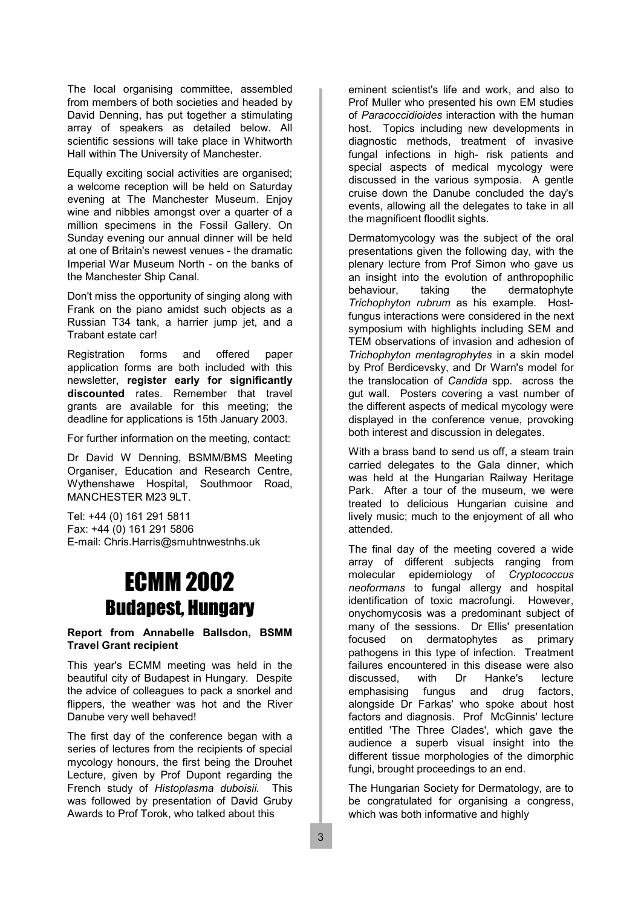The local organising committee, assembled from members of both societies and headed by David Denning, has put together a stimulating array of speakers as detailed below. All scientific sessions will take place in Whitworth Hall within The University of Manchester.

Equally exciting social activities are organised; a welcome reception will be held on Saturday evening at The Manchester Museum. Enjoy wine and nibbles amongst over a quarter of a million specimens in the Fossil Gallery. On Sunday evening our annual dinner will be held at one of Britain's newest venues - the dramatic Imperial War Museum North - on the banks of the Manchester Ship Canal.

Don't miss the opportunity of singing along with Frank on the piano amidst such objects as a Russian T34 tank, a harrier jump jet, and a Trabant estate car!

Registration forms and offered paper application forms are both included with this newsletter, **register early for significantly discounted** rates. Remember that travel grants are available for this meeting; the deadline for applications is 15th January 2003.

For further information on the meeting, contact:

Dr David W Denning, BSMM/BMS Meeting Organiser, Education and Research Centre, Wythenshawe Hospital, Southmoor Road, MANCHESTER M23 9LT.

Tel: +44 (0) 161 291 5811 Fax: +44 (0) 161 291 5806 E-mail: Chris.Harris@smuhtnwestnhs.uk

# ECMM 2002 Budapest, Hungary

#### **Report from Annabelle Ballsdon, BSMM Travel Grant recipient**

This year's ECMM meeting was held in the beautiful city of Budapest in Hungary. Despite the advice of colleagues to pack a snorkel and flippers, the weather was hot and the River Danube very well behaved!

The first day of the conference began with a series of lectures from the recipients of special mycology honours, the first being the Drouhet Lecture, given by Prof Dupont regarding the French study of *Histoplasma duboisii.* This was followed by presentation of David Gruby Awards to Prof Torok, who talked about this

eminent scientist's life and work, and also to Prof Muller who presented his own EM studies of *Paracoccidioides* interaction with the human host. Topics including new developments in diagnostic methods, treatment of invasive fungal infections in high- risk patients and special aspects of medical mycology were discussed in the various symposia. A gentle cruise down the Danube concluded the day's events, allowing all the delegates to take in all the magnificent floodlit sights.

Dermatomycology was the subject of the oral presentations given the following day, with the plenary lecture from Prof Simon who gave us an insight into the evolution of anthropophilic behaviour, taking the dermatophyte *Trichophyton rubrum* as his example. Hostfungus interactions were considered in the next symposium with highlights including SEM and TEM observations of invasion and adhesion of *Trichophyton mentagrophytes* in a skin model by Prof Berdicevsky, and Dr Warn's model for the translocation of *Candida* spp. across the gut wall. Posters covering a vast number of the different aspects of medical mycology were displayed in the conference venue, provoking both interest and discussion in delegates.

With a brass band to send us off, a steam train carried delegates to the Gala dinner, which was held at the Hungarian Railway Heritage Park. After a tour of the museum, we were treated to delicious Hungarian cuisine and lively music; much to the enjoyment of all who attended.

The final day of the meeting covered a wide array of different subjects ranging from molecular epidemiology of *Cryptococcus neoformans* to fungal allergy and hospital identification of toxic macrofungi. However, onychomycosis was a predominant subject of many of the sessions. Dr Ellis' presentation focused on dermatophytes as primary pathogens in this type of infection. Treatment failures encountered in this disease were also discussed, with Dr Hanke's lecture emphasising fungus and drug factors, alongside Dr Farkas' who spoke about host factors and diagnosis. Prof McGinnis' lecture entitled 'The Three Clades', which gave the audience a superb visual insight into the different tissue morphologies of the dimorphic fungi, brought proceedings to an end.

The Hungarian Society for Dermatology, are to be congratulated for organising a congress, which was both informative and highly